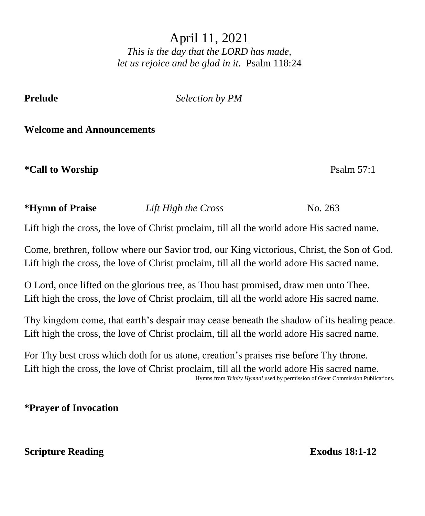## April 11, 2021 *This is the day that the LORD has made, let us rejoice and be glad in it.* Psalm 118:24

**Prelude** *Selection by PM*

**Welcome and Announcements**

**\*Call to Worship Psalm 57:1** 

| Lift High the Cross | No. 263 |
|---------------------|---------|
|                     |         |

Lift high the cross, the love of Christ proclaim, till all the world adore His sacred name.

Come, brethren, follow where our Savior trod, our King victorious, Christ, the Son of God. Lift high the cross, the love of Christ proclaim, till all the world adore His sacred name.

O Lord, once lifted on the glorious tree, as Thou hast promised, draw men unto Thee. Lift high the cross, the love of Christ proclaim, till all the world adore His sacred name.

Thy kingdom come, that earth's despair may cease beneath the shadow of its healing peace. Lift high the cross, the love of Christ proclaim, till all the world adore His sacred name.

For Thy best cross which doth for us atone, creation's praises rise before Thy throne. Lift high the cross, the love of Christ proclaim, till all the world adore His sacred name. Hymns from *Trinity Hymnal* used by permission of Great Commission Publications.

**\*Prayer of Invocation** 

**Scripture Reading Exodus** 18:1-12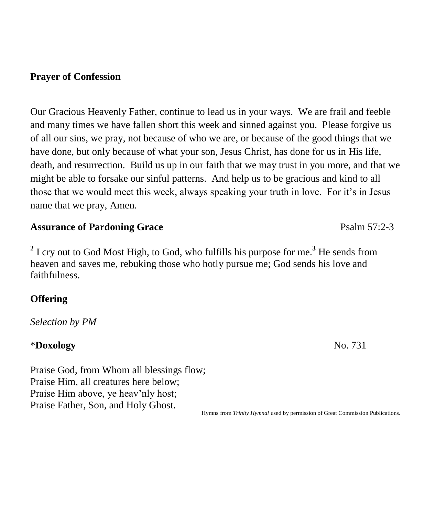## **Prayer of Confession**

Our Gracious Heavenly Father, continue to lead us in your ways. We are frail and feeble and many times we have fallen short this week and sinned against you. Please forgive us of all our sins, we pray, not because of who we are, or because of the good things that we have done, but only because of what your son, Jesus Christ, has done for us in His life, death, and resurrection. Build us up in our faith that we may trust in you more, and that we might be able to forsake our sinful patterns. And help us to be gracious and kind to all those that we would meet this week, always speaking your truth in love. For it's in Jesus name that we pray, Amen.

#### **Assurance of Pardoning Grace**  Psalm 57:2-3

**2** I cry out to God Most High, to God, who fulfills his purpose for me.**<sup>3</sup>** He sends from heaven and saves me, rebuking those who hotly pursue me; God sends his love and faithfulness.

## **Offering**

*Selection by PM*

## \***Doxology** No. 731

Praise God, from Whom all blessings flow; Praise Him, all creatures here below; Praise Him above, ye heav'nly host; Praise Father, Son, and Holy Ghost.

Hymns from *Trinity Hymnal* used by permission of Great Commission Publications.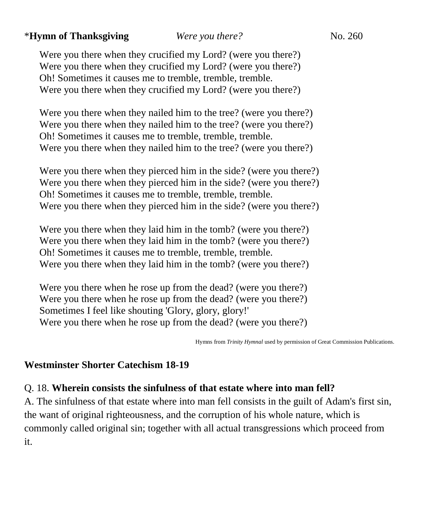## \***Hymn of Thanksgiving** *Were you there?* No. 260

Were you there when they crucified my Lord? (were you there?) Were you there when they crucified my Lord? (were you there?) Oh! Sometimes it causes me to tremble, tremble, tremble. Were you there when they crucified my Lord? (were you there?)

Were you there when they nailed him to the tree? (were you there?) Were you there when they nailed him to the tree? (were you there?) Oh! Sometimes it causes me to tremble, tremble, tremble. Were you there when they nailed him to the tree? (were you there?)

Were you there when they pierced him in the side? (were you there?) Were you there when they pierced him in the side? (were you there?) Oh! Sometimes it causes me to tremble, tremble, tremble. Were you there when they pierced him in the side? (were you there?)

Were you there when they laid him in the tomb? (were you there?) Were you there when they laid him in the tomb? (were you there?) Oh! Sometimes it causes me to tremble, tremble, tremble. Were you there when they laid him in the tomb? (were you there?)

Were you there when he rose up from the dead? (were you there?) Were you there when he rose up from the dead? (were you there?) Sometimes I feel like shouting 'Glory, glory, glory!' Were you there when he rose up from the dead? (were you there?)

Hymns from *Trinity Hymnal* used by permission of Great Commission Publications.

### **Westminster Shorter Catechism 18-19**

#### Q. 18. **Wherein consists the sinfulness of that estate where into man fell?**

A. The sinfulness of that estate where into man fell consists in the guilt of Adam's first sin, the want of original righteousness, and the corruption of his whole nature, which is commonly called original sin; together with all actual transgressions which proceed from it.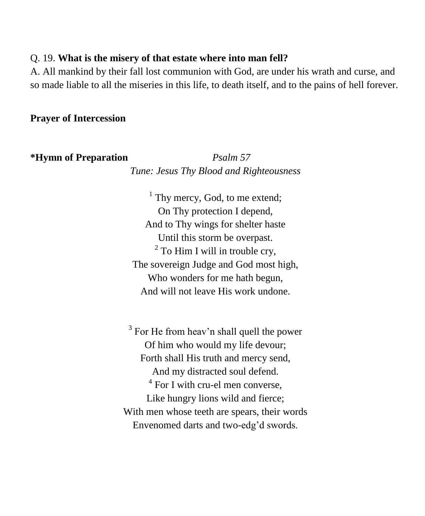#### Q. 19. **What is the misery of that estate where into man fell?**

A. All mankind by their fall lost communion with God, are under his wrath and curse, and so made liable to all the miseries in this life, to death itself, and to the pains of hell forever.

#### **Prayer of Intercession**

**\*Hymn of Preparation** *Psalm 57 Tune: Jesus Thy Blood and Righteousness*

> $<sup>1</sup>$  Thy mercy, God, to me extend;</sup> On Thy protection I depend, And to Thy wings for shelter haste Until this storm be overpast.  $2^2$  To Him I will in trouble cry, The sovereign Judge and God most high, Who wonders for me hath begun, And will not leave His work undone.

 $3$  For He from heav'n shall quell the power Of him who would my life devour; Forth shall His truth and mercy send, And my distracted soul defend. <sup>4</sup> For I with cru-el men converse, Like hungry lions wild and fierce; With men whose teeth are spears, their words Envenomed darts and two-edg'd swords.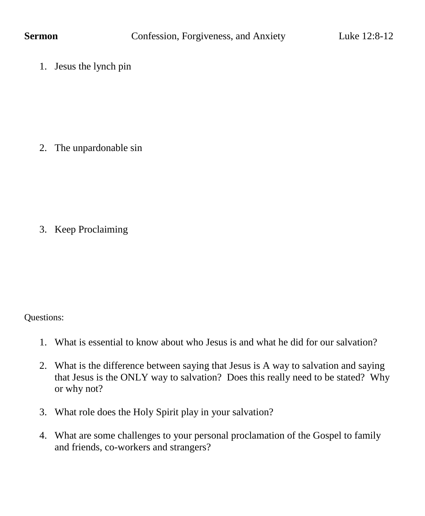1. Jesus the lynch pin

2. The unpardonable sin

3. Keep Proclaiming

Questions:

- 1. What is essential to know about who Jesus is and what he did for our salvation?
- 2. What is the difference between saying that Jesus is A way to salvation and saying that Jesus is the ONLY way to salvation? Does this really need to be stated? Why or why not?
- 3. What role does the Holy Spirit play in your salvation?
- 4. What are some challenges to your personal proclamation of the Gospel to family and friends, co-workers and strangers?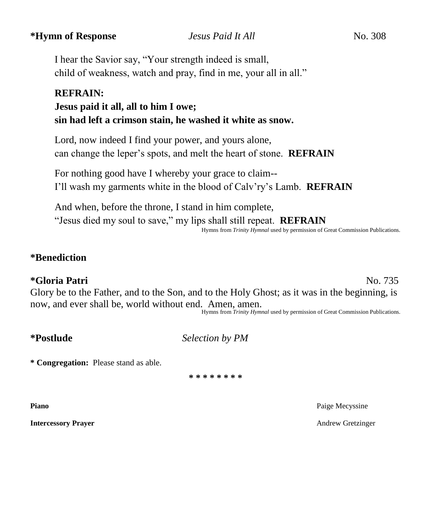#### **\*Hymn of Response** *<i>Jesus Paid It All* **<b>Constant Constant Constant** No. 308

I hear the Savior say, "Your strength indeed is small, child of weakness, watch and pray, find in me, your all in all."

## **REFRAIN: Jesus paid it all, all to him I owe; sin had left a crimson stain, he washed it white as snow.**

Lord, now indeed I find your power, and yours alone, can change the leper's spots, and melt the heart of stone. **REFRAIN**

For nothing good have I whereby your grace to claim-- I'll wash my garments white in the blood of Calv'ry's Lamb. **REFRAIN**

And when, before the throne, I stand in him complete, "Jesus died my soul to save," my lips shall still repeat. **REFRAIN**

Hymns from *Trinity Hymnal* used by permission of Great Commission Publications.

#### **\*Benediction**

#### **\*Gloria Patri** No. 735

Glory be to the Father, and to the Son, and to the Holy Ghost; as it was in the beginning, is now, and ever shall be, world without end. Amen, amen.

Hymns from *Trinity Hymnal* used by permission of Great Commission Publications.

**\*Postlude** *Selection by PM*

**\* Congregation:** Please stand as able.

**\* \* \* \* \* \* \* \***

**Intercessory Prayer** Andrew Gretzinger

**Piano Paige Mecyssine**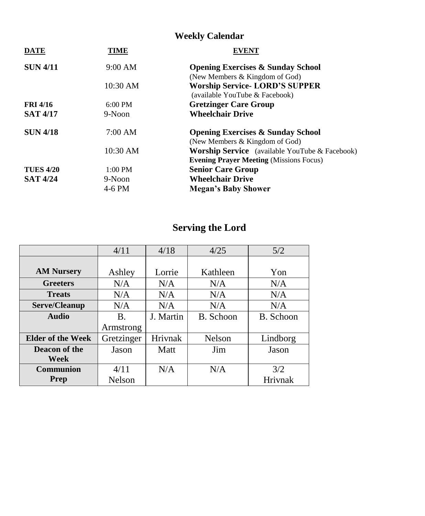# **Weekly Calendar**

| <b>DATE</b>      | TIME              | <b>EVENT</b>                                                                                            |
|------------------|-------------------|---------------------------------------------------------------------------------------------------------|
| <b>SUN 4/11</b>  | 9:00 AM           | <b>Opening Exercises &amp; Sunday School</b><br>(New Members & Kingdom of God)                          |
|                  | 10:30 AM          | <b>Worship Service- LORD'S SUPPER</b><br>(available YouTube & Facebook)                                 |
| <b>FRI</b> 4/16  | $6:00 \text{ PM}$ | <b>Gretzinger Care Group</b>                                                                            |
| <b>SAT 4/17</b>  | 9-Noon            | <b>Wheelchair Drive</b>                                                                                 |
| <b>SUN 4/18</b>  | 7:00 AM           | <b>Opening Exercises &amp; Sunday School</b><br>(New Members & Kingdom of God)                          |
|                  | 10:30 AM          | <b>Worship Service</b> (available YouTube & Facebook)<br><b>Evening Prayer Meeting (Missions Focus)</b> |
| <b>TUES 4/20</b> | 1:00 PM           | <b>Senior Care Group</b>                                                                                |
| <b>SAT 4/24</b>  | 9-Noon            | <b>Wheelchair Drive</b>                                                                                 |
|                  | 4-6 PM            | <b>Megan's Baby Shower</b>                                                                              |

# **Serving the Lord**

|                          | 4/11       | 4/18      | 4/25      | 5/2       |
|--------------------------|------------|-----------|-----------|-----------|
|                          |            |           |           |           |
| <b>AM Nursery</b>        | Ashley     | Lorrie    | Kathleen  | Yon       |
| <b>Greeters</b>          | N/A        | N/A       | N/A       | N/A       |
| <b>Treats</b>            | N/A        | N/A       | N/A       | N/A       |
| Serve/Cleanup            | N/A        | N/A       | N/A       | N/A       |
| <b>Audio</b>             | В.         | J. Martin | B. Schoon | B. Schoon |
|                          | Armstrong  |           |           |           |
| <b>Elder of the Week</b> | Gretzinger | Hrivnak   | Nelson    | Lindborg  |
| Deacon of the            | Jason      | Matt      | Jim       | Jason     |
| Week                     |            |           |           |           |
| <b>Communion</b>         | 4/11       | N/A       | N/A       | 3/2       |
| <b>Prep</b>              | Nelson     |           |           | Hrivnak   |